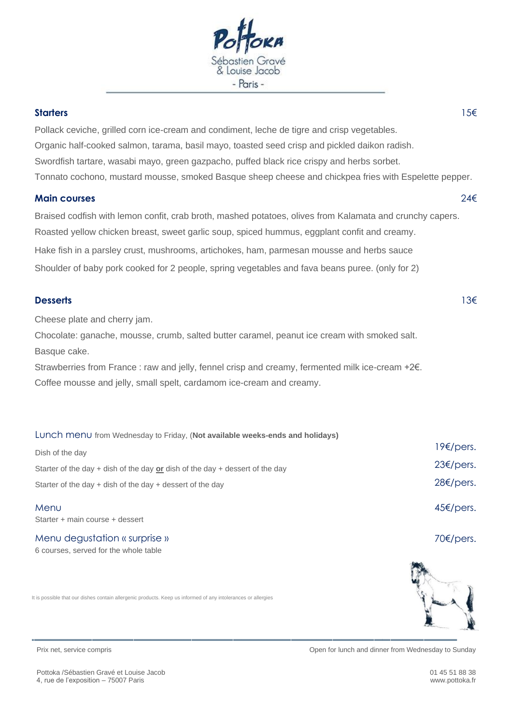

## **Starters** 15€

Pollack ceviche, grilled corn ice-cream and condiment, leche de tigre and crisp vegetables. Organic half-cooked salmon, tarama, basil mayo, toasted seed crisp and pickled daikon radish. Swordfish tartare, wasabi mayo, green gazpacho, puffed black rice crispy and herbs sorbet. Tonnato cochono, mustard mousse, smoked Basque sheep cheese and chickpea fries with Espelette pepper.

## **Main courses** 24€

Braised codfish with lemon confit, crab broth, mashed potatoes, olives from Kalamata and crunchy capers. Roasted yellow chicken breast, sweet garlic soup, spiced hummus, eggplant confit and creamy. Hake fish in a parsley crust, mushrooms, artichokes, ham, parmesan mousse and herbs sauce Shoulder of baby pork cooked for 2 people, spring vegetables and fava beans puree. (only for 2)

## **Desserts** 13€

Cheese plate and cherry jam.

Chocolate: ganache, mousse, crumb, salted butter caramel, peanut ice cream with smoked salt. Basque cake.

Strawberries from France : raw and jelly, fennel crisp and creamy, fermented milk ice-cream +2€. Coffee mousse and jelly, small spelt, cardamom ice-cream and creamy.

| LUNCh MenU from Wednesday to Friday, (Not available weeks-ends and holidays)   |                      |
|--------------------------------------------------------------------------------|----------------------|
| Dish of the day                                                                | 19f/pers.            |
| Starter of the day + dish of the day $or$ dish of the day + dessert of the day | $23 \epsilon$ /pers. |
| Starter of the day $+$ dish of the day $+$ dessert of the day                  | $28 \epsilon$ /pers. |
| Menu<br>Starter + main course + dessert                                        | $45 \epsilon$ /pers. |

Menu degustation « surprise » 6 courses, served for the whole table

It is possible that our dishes contain allergenic products. Keep us informed of any intolerances or allergies



70€/pers.

Pottoka /Sébastien Gravé et Louise Jacob 4, rue de l'exposition – 75007 Paris

Prix net, service compris Open for lunch and dinner from Wednesday to Sunday

01 45 51 88 38 www.pottoka.fr